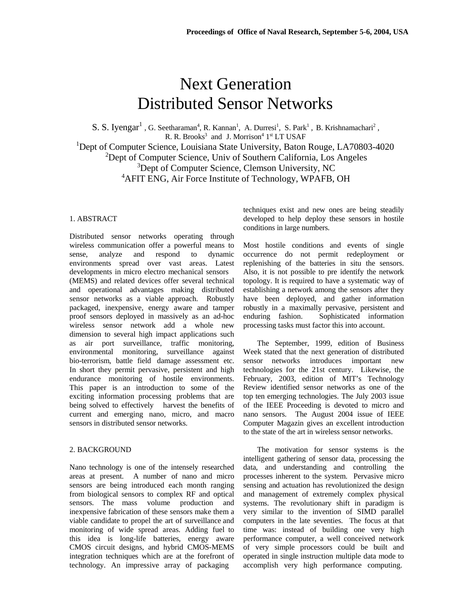# Next Generation Distributed Sensor Networks

S. S. Iyengar<sup>1</sup>, G. Seetharaman<sup>4</sup>, R. Kannan<sup>1</sup>, A. Durresi<sup>1</sup>, S. Park<sup>1</sup>, B. Krishnamachari<sup>2</sup>, R. R. Brooks<sup>3</sup> and J. Morrison<sup>4</sup>  $1<sup>st</sup> LT USAF$ <sup>1</sup>Dept of Computer Science, Louisiana State University, Baton Rouge, LA70803-4020 <sup>2</sup>Dept of Computer Science, Univ of Southern California, Los Angeles <sup>3</sup>Dept of Computer Science, Clemson University, NC <sup>4</sup>AFIT ENG, Air Force Institute of Technology, WPAFB, OH

#### 1. ABSTRACT

Distributed sensor networks operating through wireless communication offer a powerful means to sense, analyze and respond to dynamic environments spread over vast areas. Latest developments in micro electro mechanical sensors (MEMS) and related devices offer several technical and operational advantages making distributed sensor networks as a viable approach. Robustly packaged, inexpensive, energy aware and tamper proof sensors deployed in massively as an ad-hoc wireless sensor network add a whole new dimension to several high impact applications such as air port surveillance, traffic monitoring, environmental monitoring, surveillance against bio-terrorism, battle field damage assessment etc. In short they permit pervasive, persistent and high endurance monitoring of hostile environments. This paper is an introduction to some of the exciting information processing problems that are being solved to effectively harvest the benefits of current and emerging nano, micro, and macro sensors in distributed sensor networks.

# 2. BACKGROUND

Nano technology is one of the intensely researched areas at present. A number of nano and micro sensors are being introduced each month ranging from biological sensors to complex RF and optical sensors. The mass volume production and inexpensive fabrication of these sensors make them a viable candidate to propel the art of surveillance and monitoring of wide spread areas. Adding fuel to this idea is long-life batteries, energy aware CMOS circuit designs, and hybrid CMOS-MEMS integration techniques which are at the forefront of technology. An impressive array of packaging

techniques exist and new ones are being steadily developed to help deploy these sensors in hostile conditions in large numbers.

Most hostile conditions and events of single occurrence do not permit redeployment or replenishing of the batteries in situ the sensors. Also, it is not possible to pre identify the network topology. It is required to have a systematic way of establishing a network among the sensors after they have been deployed, and gather information robustly in a maximally pervasive, persistent and enduring fashion. Sophisticated information processing tasks must factor this into account.

The September, 1999, edition of Business Week stated that the next generation of distributed sensor networks introduces important new technologies for the 21st century. Likewise, the February, 2003, edition of MIT's Technology Review identified sensor networks as one of the top ten emerging technologies. The July 2003 issue of the IEEE Proceeding is devoted to micro and nano sensors. The August 2004 issue of IEEE Computer Magazin gives an excellent introduction to the state of the art in wireless sensor networks.

The motivation for sensor systems is the intelligent gathering of sensor data, processing the data, and understanding and controlling the processes inherent to the system. Pervasive micro sensing and actuation has revolutionized the design and management of extremely complex physical systems. The revolutionary shift in paradigm is very similar to the invention of SIMD parallel computers in the late seventies. The focus at that time was: instead of building one very high performance computer, a well conceived network of very simple processors could be built and operated in single instruction multiple data mode to accomplish very high performance computing.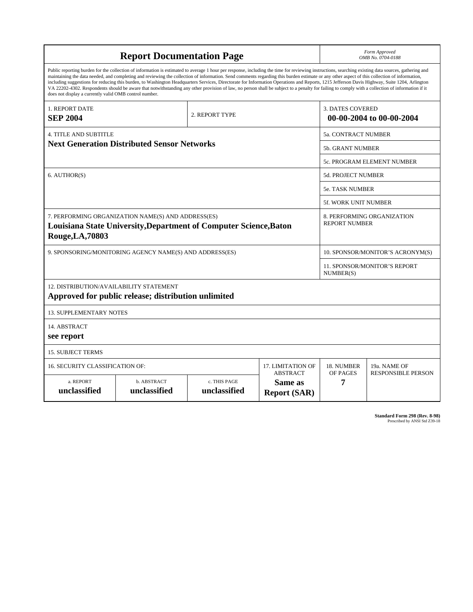| <b>Report Documentation Page</b>                                                                                                                                                                                                                                                                                                                                                                                                                                                                                                                                                                                                                                                                                                                                                                                                                                   |                             |                              |                                                   |                                                     | Form Approved<br>OMB No. 0704-0188                 |  |  |
|--------------------------------------------------------------------------------------------------------------------------------------------------------------------------------------------------------------------------------------------------------------------------------------------------------------------------------------------------------------------------------------------------------------------------------------------------------------------------------------------------------------------------------------------------------------------------------------------------------------------------------------------------------------------------------------------------------------------------------------------------------------------------------------------------------------------------------------------------------------------|-----------------------------|------------------------------|---------------------------------------------------|-----------------------------------------------------|----------------------------------------------------|--|--|
| Public reporting burden for the collection of information is estimated to average 1 hour per response, including the time for reviewing instructions, searching existing data sources, gathering and<br>maintaining the data needed, and completing and reviewing the collection of information. Send comments regarding this burden estimate or any other aspect of this collection of information,<br>including suggestions for reducing this burden, to Washington Headquarters Services, Directorate for Information Operations and Reports, 1215 Jefferson Davis Highway, Suite 1204, Arlington<br>VA 22202-4302. Respondents should be aware that notwithstanding any other provision of law, no person shall be subject to a penalty for failing to comply with a collection of information if it<br>does not display a currently valid OMB control number. |                             |                              |                                                   |                                                     |                                                    |  |  |
| <b>1. REPORT DATE</b><br><b>SEP 2004</b>                                                                                                                                                                                                                                                                                                                                                                                                                                                                                                                                                                                                                                                                                                                                                                                                                           |                             | 2. REPORT TYPE               |                                                   | <b>3. DATES COVERED</b><br>00-00-2004 to 00-00-2004 |                                                    |  |  |
| <b>4. TITLE AND SUBTITLE</b>                                                                                                                                                                                                                                                                                                                                                                                                                                                                                                                                                                                                                                                                                                                                                                                                                                       |                             |                              |                                                   |                                                     | <b>5a. CONTRACT NUMBER</b>                         |  |  |
| <b>Next Generation Distributed Sensor Networks</b>                                                                                                                                                                                                                                                                                                                                                                                                                                                                                                                                                                                                                                                                                                                                                                                                                 |                             |                              |                                                   |                                                     | <b>5b. GRANT NUMBER</b>                            |  |  |
|                                                                                                                                                                                                                                                                                                                                                                                                                                                                                                                                                                                                                                                                                                                                                                                                                                                                    |                             |                              |                                                   |                                                     | 5c. PROGRAM ELEMENT NUMBER                         |  |  |
| 6. AUTHOR(S)                                                                                                                                                                                                                                                                                                                                                                                                                                                                                                                                                                                                                                                                                                                                                                                                                                                       |                             |                              |                                                   |                                                     | 5d. PROJECT NUMBER                                 |  |  |
|                                                                                                                                                                                                                                                                                                                                                                                                                                                                                                                                                                                                                                                                                                                                                                                                                                                                    |                             |                              |                                                   |                                                     | <b>5e. TASK NUMBER</b>                             |  |  |
|                                                                                                                                                                                                                                                                                                                                                                                                                                                                                                                                                                                                                                                                                                                                                                                                                                                                    |                             |                              |                                                   |                                                     | <b>5f. WORK UNIT NUMBER</b>                        |  |  |
| 7. PERFORMING ORGANIZATION NAME(S) AND ADDRESS(ES)<br>Louisiana State University, Department of Computer Science, Baton<br>Rouge, LA, 70803                                                                                                                                                                                                                                                                                                                                                                                                                                                                                                                                                                                                                                                                                                                        |                             |                              |                                                   |                                                     | 8. PERFORMING ORGANIZATION<br><b>REPORT NUMBER</b> |  |  |
| 9. SPONSORING/MONITORING AGENCY NAME(S) AND ADDRESS(ES)                                                                                                                                                                                                                                                                                                                                                                                                                                                                                                                                                                                                                                                                                                                                                                                                            |                             |                              |                                                   |                                                     | 10. SPONSOR/MONITOR'S ACRONYM(S)                   |  |  |
|                                                                                                                                                                                                                                                                                                                                                                                                                                                                                                                                                                                                                                                                                                                                                                                                                                                                    |                             |                              |                                                   |                                                     | <b>11. SPONSOR/MONITOR'S REPORT</b><br>NUMBER(S)   |  |  |
| 12. DISTRIBUTION/AVAILABILITY STATEMENT<br>Approved for public release; distribution unlimited                                                                                                                                                                                                                                                                                                                                                                                                                                                                                                                                                                                                                                                                                                                                                                     |                             |                              |                                                   |                                                     |                                                    |  |  |
| <b>13. SUPPLEMENTARY NOTES</b>                                                                                                                                                                                                                                                                                                                                                                                                                                                                                                                                                                                                                                                                                                                                                                                                                                     |                             |                              |                                                   |                                                     |                                                    |  |  |
| 14. ABSTRACT<br>see report                                                                                                                                                                                                                                                                                                                                                                                                                                                                                                                                                                                                                                                                                                                                                                                                                                         |                             |                              |                                                   |                                                     |                                                    |  |  |
| <b>15. SUBJECT TERMS</b>                                                                                                                                                                                                                                                                                                                                                                                                                                                                                                                                                                                                                                                                                                                                                                                                                                           |                             |                              |                                                   |                                                     |                                                    |  |  |
| 16. SECURITY CLASSIFICATION OF:                                                                                                                                                                                                                                                                                                                                                                                                                                                                                                                                                                                                                                                                                                                                                                                                                                    |                             | 17. LIMITATION OF            | 18. NUMBER                                        | 19a. NAME OF                                        |                                                    |  |  |
| a. REPORT<br>unclassified                                                                                                                                                                                                                                                                                                                                                                                                                                                                                                                                                                                                                                                                                                                                                                                                                                          | b. ABSTRACT<br>unclassified | c. THIS PAGE<br>unclassified | <b>ABSTRACT</b><br>Same as<br><b>Report (SAR)</b> | OF PAGES<br>7                                       | <b>RESPONSIBLE PERSON</b>                          |  |  |

**Standard Form 298 (Rev. 8-98)**<br>Prescribed by ANSI Std Z39-18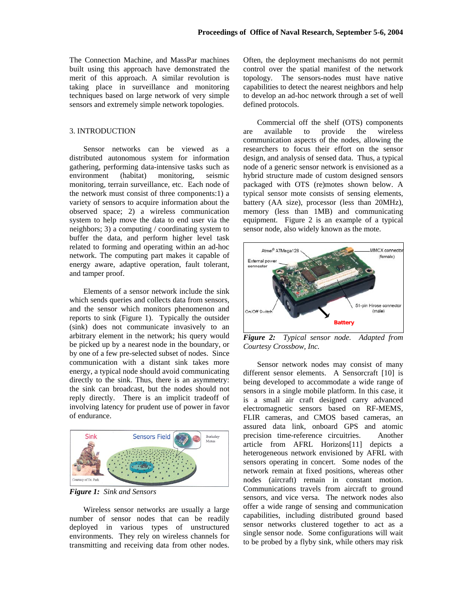The Connection Machine, and MassPar machines built using this approach have demonstrated the merit of this approach. A similar revolution is taking place in surveillance and monitoring techniques based on large network of very simple sensors and extremely simple network topologies.

# 3. INTRODUCTION

Sensor networks can be viewed as a distributed autonomous system for information gathering, performing data-intensive tasks such as environment (habitat) monitoring, seismic monitoring, terrain surveillance, etc. Each node of the network must consist of three components:1) a variety of sensors to acquire information about the observed space; 2) a wireless communication system to help move the data to end user via the neighbors; 3) a computing / coordinating system to buffer the data, and perform higher level task related to forming and operating within an ad-hoc network. The computing part makes it capable of energy aware, adaptive operation, fault tolerant, and tamper proof.

Elements of a sensor network include the sink which sends queries and collects data from sensors. and the sensor which monitors phenomenon and reports to sink (Figure 1). Typically the outsider (sink) does not communicate invasively to an arbitrary element in the network; his query would be picked up by a nearest node in the boundary, or by one of a few pre-selected subset of nodes. Since communication with a distant sink takes more energy, a typical node should avoid communicating directly to the sink. Thus, there is an asymmetry: the sink can broadcast, but the nodes should not reply directly. There is an implicit tradeoff of involving latency for prudent use of power in favor of endurance.



*Figure 1: Sink and Sensors* 

Wireless sensor networks are usually a large number of sensor nodes that can be readily deployed in various types of unstructured environments. They rely on wireless channels for transmitting and receiving data from other nodes.

Often, the deployment mechanisms do not permit control over the spatial manifest of the network topology. The sensors-nodes must have native capabilities to detect the nearest neighbors and help to develop an ad-hoc network through a set of well defined protocols.

Commercial off the shelf (OTS) components are available to provide the wireless communication aspects of the nodes, allowing the researchers to focus their effort on the sensor design, and analysis of sensed data. Thus, a typical node of a generic sensor network is envisioned as a hybrid structure made of custom designed sensors packaged with OTS (re)motes shown below. A typical sensor mote consists of sensing elements, battery (AA size), processor (less than 20MHz), memory (less than 1MB) and communicating equipment. Figure 2 is an example of a typical sensor node, also widely known as the mote.



*Figure 2: Typical sensor node. Adapted from Courtesy Crossbow, Inc.* 

Sensor network nodes may consist of many different sensor elements. A Sensorcraft [10] is being developed to accommodate a wide range of sensors in a single mobile platform. In this case, it is a small air craft designed carry advanced electromagnetic sensors based on RF-MEMS, FLIR cameras, and CMOS based cameras, an assured data link, onboard GPS and atomic precision time-reference circuitries. Another article from AFRL Horizons[11] depicts a heterogeneous network envisioned by AFRL with sensors operating in concert. Some nodes of the network remain at fixed positions, whereas other nodes (aircraft) remain in constant motion. Communications travels from aircraft to ground sensors, and vice versa. The network nodes also offer a wide range of sensing and communication capabilities, including distributed ground based sensor networks clustered together to act as a single sensor node. Some configurations will wait to be probed by a flyby sink, while others may risk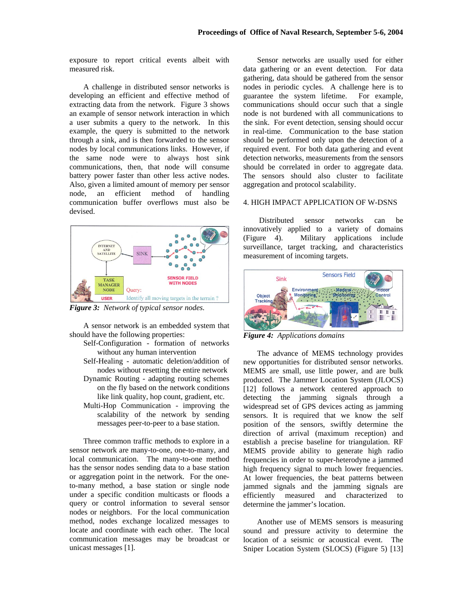exposure to report critical events albeit with measured risk.

A challenge in distributed sensor networks is developing an efficient and effective method of extracting data from the network. Figure 3 shows an example of sensor network interaction in which a user submits a query to the network. In this example, the query is submitted to the network through a sink, and is then forwarded to the sensor nodes by local communications links. However, if the same node were to always host sink communications, then, that node will consume battery power faster than other less active nodes. Also, given a limited amount of memory per sensor node, an efficient method of handling communication buffer overflows must also be devised.



*Figure 3: Network of typical sensor nodes.* 

A sensor network is an embedded system that should have the following properties:

- Self-Configuration formation of networks without any human intervention
- Self-Healing automatic deletion/addition of nodes without resetting the entire network
- Dynamic Routing adapting routing schemes on the fly based on the network conditions like link quality, hop count, gradient, etc.
- Multi-Hop Communication improving the scalability of the network by sending messages peer-to-peer to a base station.

Three common traffic methods to explore in a sensor network are many-to-one, one-to-many, and local communication. The many-to-one method has the sensor nodes sending data to a base station or aggregation point in the network. For the oneto-many method, a base station or single node under a specific condition multicasts or floods a query or control information to several sensor nodes or neighbors. For the local communication method, nodes exchange localized messages to locate and coordinate with each other. The local communication messages may be broadcast or unicast messages [1].

Sensor networks are usually used for either data gathering or an event detection. For data gathering, data should be gathered from the sensor nodes in periodic cycles. A challenge here is to guarantee the system lifetime. For example, communications should occur such that a single node is not burdened with all communications to the sink. For event detection, sensing should occur in real-time. Communication to the base station should be performed only upon the detection of a required event. For both data gathering and event detection networks, measurements from the sensors should be correlated in order to aggregate data. The sensors should also cluster to facilitate aggregation and protocol scalability.

#### 4. HIGH IMPACT APPLICATION OF W-DSNS

 Distributed sensor networks can be innovatively applied to a variety of domains (Figure 4). Military applications include surveillance, target tracking, and characteristics measurement of incoming targets.



*Figure 4: Applications domains* 

The advance of MEMS technology provides new opportunities for distributed sensor networks. MEMS are small, use little power, and are bulk produced. The Jammer Location System (JLOCS) [12] follows a network centered approach to detecting the jamming signals through a widespread set of GPS devices acting as jamming sensors. It is required that we know the self position of the sensors, swiftly determine the direction of arrival (maximum reception) and establish a precise baseline for triangulation. RF MEMS provide ability to generate high radio frequencies in order to super-heterodyne a jammed high frequency signal to much lower frequencies. At lower frequencies, the beat patterns between jammed signals and the jamming signals are efficiently measured and characterized to determine the jammer's location.

Another use of MEMS sensors is measuring sound and pressure activity to determine the location of a seismic or acoustical event. The Sniper Location System (SLOCS) (Figure 5) [13]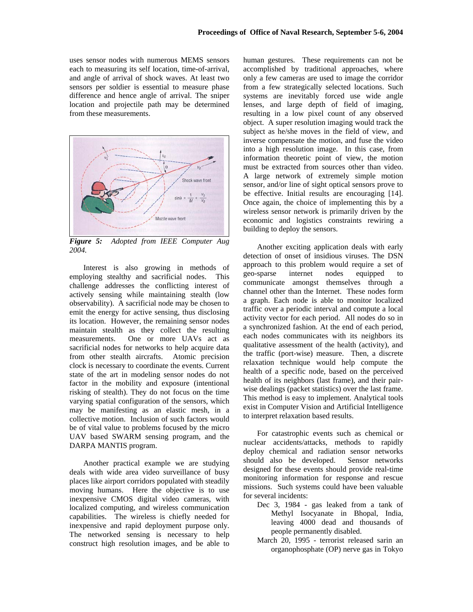uses sensor nodes with numerous MEMS sensors each to measuring its self location, time-of-arrival, and angle of arrival of shock waves. At least two sensors per soldier is essential to measure phase difference and hence angle of arrival. The sniper location and projectile path may be determined from these measurements.



*Figure 5: Adopted from IEEE Computer Aug 2004.* 

Interest is also growing in methods of employing stealthy and sacrificial nodes. This challenge addresses the conflicting interest of actively sensing while maintaining stealth (low observability). A sacrificial node may be chosen to emit the energy for active sensing, thus disclosing its location. However, the remaining sensor nodes maintain stealth as they collect the resulting measurements. One or more UAVs act as sacrificial nodes for networks to help acquire data from other stealth aircrafts. Atomic precision clock is necessary to coordinate the events. Current state of the art in modeling sensor nodes do not factor in the mobility and exposure (intentional risking of stealth). They do not focus on the time varying spatial configuration of the sensors, which may be manifesting as an elastic mesh, in a collective motion. Inclusion of such factors would be of vital value to problems focused by the micro UAV based SWARM sensing program, and the DARPA MANTIS program.

Another practical example we are studying deals with wide area video surveillance of busy places like airport corridors populated with steadily moving humans. Here the objective is to use inexpensive CMOS digital video cameras, with localized computing, and wireless communication capabilities. The wireless is chiefly needed for inexpensive and rapid deployment purpose only. The networked sensing is necessary to help construct high resolution images, and be able to

human gestures. These requirements can not be accomplished by traditional approaches, where only a few cameras are used to image the corridor from a few strategically selected locations. Such systems are inevitably forced use wide angle lenses, and large depth of field of imaging, resulting in a low pixel count of any observed object. A super resolution imaging would track the subject as he/she moves in the field of view, and inverse compensate the motion, and fuse the video into a high resolution image. In this case, from information theoretic point of view, the motion must be extracted from sources other than video. A large network of extremely simple motion sensor, and/or line of sight optical sensors prove to be effective. Initial results are encouraging [14]. Once again, the choice of implementing this by a wireless sensor network is primarily driven by the economic and logistics constraints rewiring a building to deploy the sensors.

Another exciting application deals with early detection of onset of insidious viruses. The DSN approach to this problem would require a set of geo-sparse internet nodes equipped to communicate amongst themselves through a channel other than the Internet. These nodes form a graph. Each node is able to monitor localized traffic over a periodic interval and compute a local activity vector for each period. All nodes do so in a synchronized fashion. At the end of each period, each nodes communicates with its neighbors its qualitative assessment of the health (activity), and the traffic (port-wise) measure. Then, a discrete relaxation technique would help compute the health of a specific node, based on the perceived health of its neighbors (last frame), and their pairwise dealings (packet statistics) over the last frame. This method is easy to implement. Analytical tools exist in Computer Vision and Artificial Intelligence to interpret relaxation based results.

For catastrophic events such as chemical or nuclear accidents/attacks, methods to rapidly deploy chemical and radiation sensor networks should also be developed. Sensor networks designed for these events should provide real-time monitoring information for response and rescue missions. Such systems could have been valuable for several incidents:

- Dec 3, 1984 gas leaked from a tank of Methyl Isocyanate in Bhopal, India, leaving 4000 dead and thousands of people permanently disabled.
- March 20, 1995 terrorist released sarin an organophosphate (OP) nerve gas in Tokyo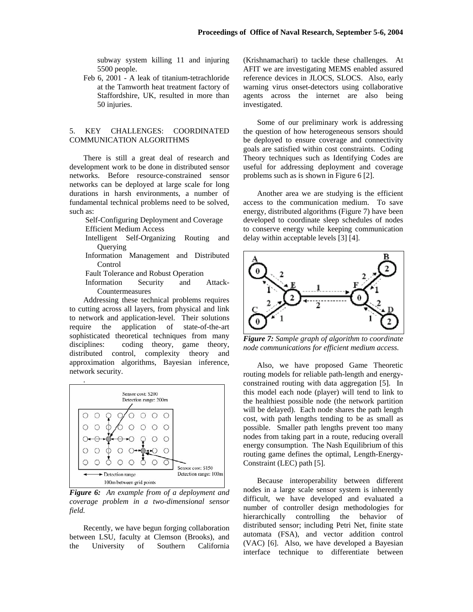subway system killing 11 and injuring 5500 people.

Feb 6, 2001 - A leak of titanium-tetrachloride at the Tamworth heat treatment factory of Staffordshire, UK, resulted in more than 50 injuries.

## 5. KEY CHALLENGES: COORDINATED COMMUNICATION ALGORITHMS

There is still a great deal of research and development work to be done in distributed sensor networks. Before resource-constrained sensor networks can be deployed at large scale for long durations in harsh environments, a number of fundamental technical problems need to be solved, such as:

- Self-Configuring Deployment and Coverage Efficient Medium Access
- Intelligent Self-Organizing Routing and **Ouerving**
- Information Management and Distributed Control
- Fault Tolerance and Robust Operation
- Information Security and Attack-Countermeasures

Addressing these technical problems requires to cutting across all layers, from physical and link to network and application-level. Their solutions require the application of state-of-the-art sophisticated theoretical techniques from many disciplines: coding theory, game theory, distributed control, complexity theory and approximation algorithms, Bayesian inference, network security.



*Figure 6: An example from of a deployment and coverage problem in a two-dimensional sensor field.* 

Recently, we have begun forging collaboration between LSU, faculty at Clemson (Brooks), and the University of Southern California (Krishnamachari) to tackle these challenges. At AFIT we are investigating MEMS enabled assured reference devices in JLOCS, SLOCS. Also, early warning virus onset-detectors using collaborative agents across the internet are also being investigated.

Some of our preliminary work is addressing the question of how heterogeneous sensors should be deployed to ensure coverage and connectivity goals are satisfied within cost constraints. Coding Theory techniques such as Identifying Codes are useful for addressing deployment and coverage problems such as is shown in Figure 6 [2].

Another area we are studying is the efficient access to the communication medium. To save energy, distributed algorithms (Figure 7) have been developed to coordinate sleep schedules of nodes to conserve energy while keeping communication delay within acceptable levels [3] [4].



*Figure 7: Sample graph of algorithm to coordinate node communications for efficient medium access.*

Also, we have proposed Game Theoretic routing models for reliable path-length and energyconstrained routing with data aggregation [5]. In this model each node (player) will tend to link to the healthiest possible node (the network partition will be delayed). Each node shares the path length cost, with path lengths tending to be as small as possible. Smaller path lengths prevent too many nodes from taking part in a route, reducing overall energy consumption. The Nash Equilibrium of this routing game defines the optimal, Length-Energy-Constraint (LEC) path [5].

Because interoperability between different nodes in a large scale sensor system is inherently difficult, we have developed and evaluated a number of controller design methodologies for hierarchically controlling the behavior of distributed sensor; including Petri Net, finite state automata (FSA), and vector addition control (VAC) [6]. Also, we have developed a Bayesian interface technique to differentiate between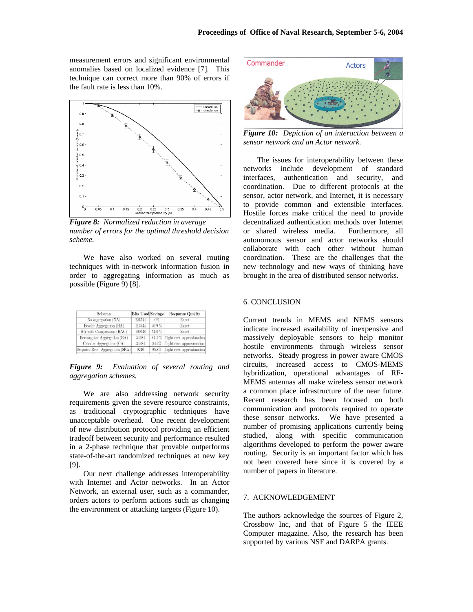measurement errors and significant environmental anomalies based on localized evidence [7]. This technique can correct more than 90% of errors if the fault rate is less than 10%.



*Figure 8: Normalized reduction in average number of errors for the optimal threshold decision scheme.* 

We have also worked on several routing techniques with in-network information fusion in order to aggregating information as much as possible (Figure 9) [8].

| Scheme                           | <b>Bits Used Savings</b> |          | <b>Response Quality</b>          |  |
|----------------------------------|--------------------------|----------|----------------------------------|--|
| No aggregation (NA)              | 221544                   | 0%       | Exact                            |  |
| Header Aggregation (HA)          | 117544                   | 46.9%    | Exact                            |  |
| HA with Compression (HAC)        | 100648                   | $54.6\%$ | Exact                            |  |
| Rectangular Aggregation (RA)     | 34984                    |          | 84.2 % Tight rect. approximation |  |
| Circular Aggregation (CA)        | 34984                    | 84.2%    | Tight circ, approximation        |  |
| Stepwise Rect. Aggregation (SRA) | 9240                     | 95.8%    | Tight rect. approximation        |  |

*Figure 9: Evaluation of several routing and aggregation schemes.* 

We are also addressing network security requirements given the severe resource constraints, as traditional cryptographic techniques have unacceptable overhead. One recent development of new distribution protocol providing an efficient tradeoff between security and performance resulted in a 2-phase technique that provable outperforms state-of-the-art randomized techniques at new key [9].

Our next challenge addresses interoperability with Internet and Actor networks. In an Actor Network, an external user, such as a commander, orders actors to perform actions such as changing the environment or attacking targets (Figure 10).



*Figure 10: Depiction of an interaction between a sensor network and an Actor network.* 

The issues for interoperability between these networks include development of standard interfaces, authentication and security, and coordination. Due to different protocols at the sensor, actor network, and Internet, it is necessary to provide common and extensible interfaces. Hostile forces make critical the need to provide decentralized authentication methods over Internet or shared wireless media. Furthermore, all autonomous sensor and actor networks should collaborate with each other without human coordination. These are the challenges that the new technology and new ways of thinking have brought in the area of distributed sensor networks.

## 6. CONCLUSION

Current trends in MEMS and NEMS sensors indicate increased availability of inexpensive and massively deployable sensors to help monitor hostile environments through wireless sensor networks. Steady progress in power aware CMOS circuits, increased access to CMOS-MEMS hybridization, operational advantages of RF-MEMS antennas all make wireless sensor network a common place infrastructure of the near future. Recent research has been focused on both communication and protocols required to operate these sensor networks. We have presented a number of promising applications currently being studied, along with specific communication algorithms developed to perform the power aware routing. Security is an important factor which has not been covered here since it is covered by a number of papers in literature.

#### 7. ACKNOWLEDGEMENT

The authors acknowledge the sources of Figure 2, Crossbow Inc, and that of Figure 5 the IEEE Computer magazine. Also, the research has been supported by various NSF and DARPA grants.